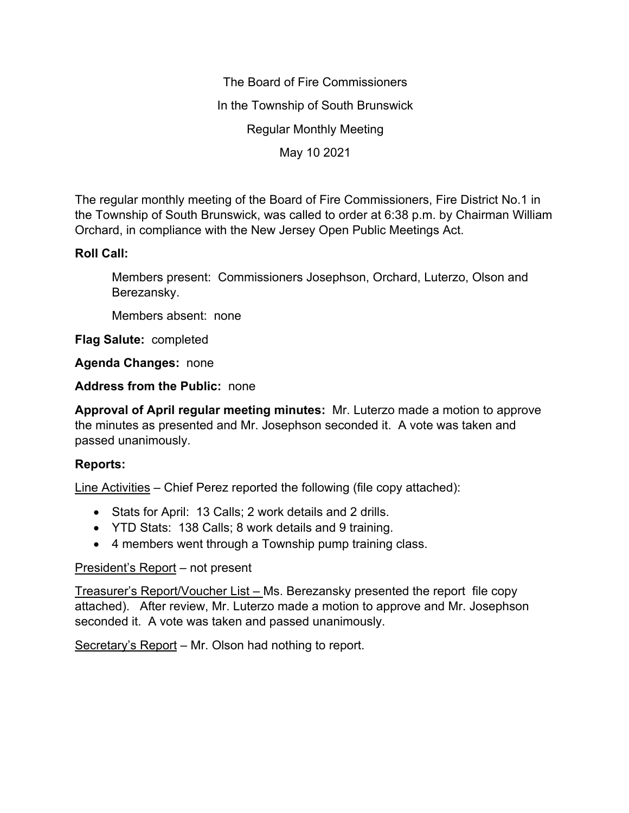The Board of Fire Commissioners In the Township of South Brunswick Regular Monthly Meeting May 10 2021

The regular monthly meeting of the Board of Fire Commissioners, Fire District No.1 in the Township of South Brunswick, was called to order at 6:38 p.m. by Chairman William Orchard, in compliance with the New Jersey Open Public Meetings Act.

## **Roll Call:**

Members present: Commissioners Josephson, Orchard, Luterzo, Olson and Berezansky.

Members absent: none

**Flag Salute:** completed

**Agenda Changes:** none

**Address from the Public:** none

**Approval of April regular meeting minutes:** Mr. Luterzo made a motion to approve the minutes as presented and Mr. Josephson seconded it. A vote was taken and passed unanimously.

## **Reports:**

Line Activities – Chief Perez reported the following (file copy attached):

- Stats for April: 13 Calls; 2 work details and 2 drills.
- YTD Stats: 138 Calls; 8 work details and 9 training.
- 4 members went through a Township pump training class.

## President's Report – not present

Treasurer's Report/Voucher List – Ms. Berezansky presented the report file copy attached). After review, Mr. Luterzo made a motion to approve and Mr. Josephson seconded it. A vote was taken and passed unanimously.

Secretary's Report – Mr. Olson had nothing to report.